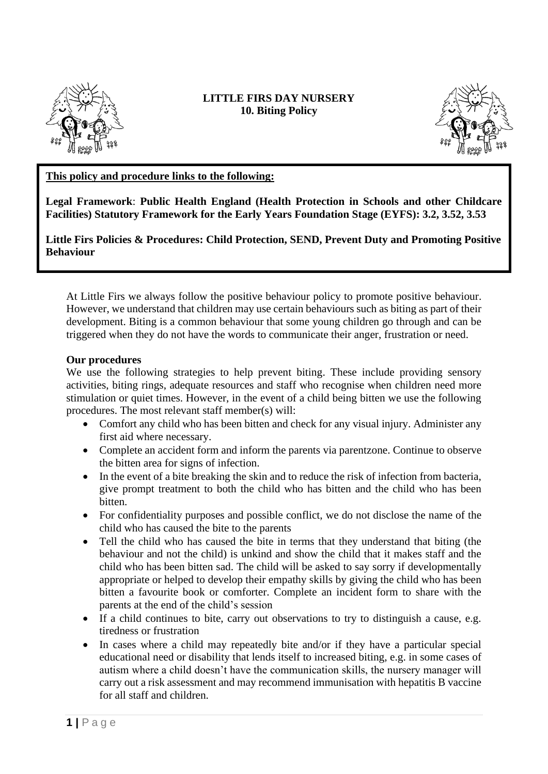

## **LITTLE FIRS DAY NURSERY 10. Biting Policy**



## **This policy and procedure links to the following:**

**Legal Framework**: **Public Health England (Health Protection in Schools and other Childcare Facilities) Statutory Framework for the Early Years Foundation Stage (EYFS): 3.2, 3.52, 3.53**

**Little Firs Policies & Procedures: Child Protection, SEND, Prevent Duty and Promoting Positive Behaviour**

At Little Firs we always follow the positive behaviour policy to promote positive behaviour. However, we understand that children may use certain behaviours such as biting as part of their development. Biting is a common behaviour that some young children go through and can be triggered when they do not have the words to communicate their anger, frustration or need.

## **Our procedures**

We use the following strategies to help prevent biting. These include providing sensory activities, biting rings, adequate resources and staff who recognise when children need more stimulation or quiet times. However, in the event of a child being bitten we use the following procedures. The most relevant staff member(s) will:

- Comfort any child who has been bitten and check for any visual injury. Administer any first aid where necessary.
- Complete an accident form and inform the parents via parentzone. Continue to observe the bitten area for signs of infection.
- In the event of a bite breaking the skin and to reduce the risk of infection from bacteria, give prompt treatment to both the child who has bitten and the child who has been bitten.
- For confidentiality purposes and possible conflict, we do not disclose the name of the child who has caused the bite to the parents
- Tell the child who has caused the bite in terms that they understand that biting (the behaviour and not the child) is unkind and show the child that it makes staff and the child who has been bitten sad. The child will be asked to say sorry if developmentally appropriate or helped to develop their empathy skills by giving the child who has been bitten a favourite book or comforter. Complete an incident form to share with the parents at the end of the child's session
- If a child continues to bite, carry out observations to try to distinguish a cause, e.g. tiredness or frustration
- In cases where a child may repeatedly bite and/or if they have a particular special educational need or disability that lends itself to increased biting, e.g. in some cases of autism where a child doesn't have the communication skills, the nursery manager will carry out a risk assessment and may recommend immunisation with hepatitis B vaccine for all staff and children.